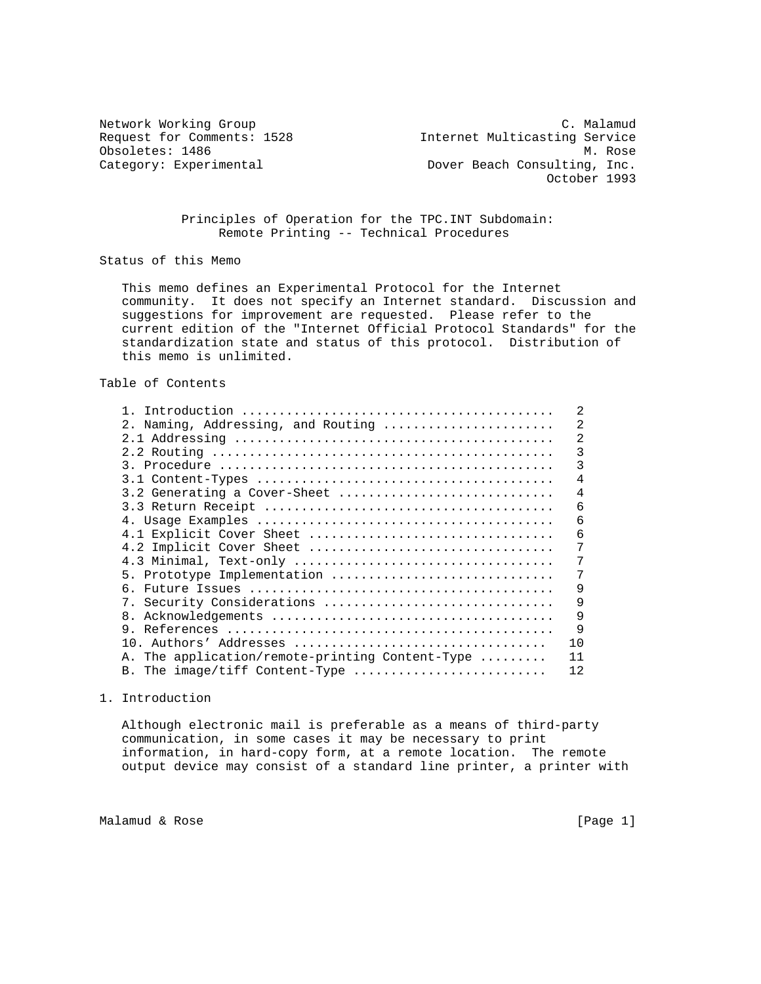Network Working Group C. Malamud Request for Comments: 1528 Internet Multicasting Service Obsoletes: 1486 M. Rose Category: Experimental and Dover Beach Consulting, Inc. October 1993

## Principles of Operation for the TPC.INT Subdomain: Remote Printing -- Technical Procedures

Status of this Memo

 This memo defines an Experimental Protocol for the Internet community. It does not specify an Internet standard. Discussion and suggestions for improvement are requested. Please refer to the current edition of the "Internet Official Protocol Standards" for the standardization state and status of this protocol. Distribution of this memo is unlimited.

Table of Contents

|                                                 | 2              |
|-------------------------------------------------|----------------|
| Naming, Addressing, and Routing<br>2.           | $\overline{2}$ |
|                                                 | 2              |
|                                                 | 3              |
|                                                 | 3              |
|                                                 | 4              |
| 3.2 Generating a Cover-Sheet                    | $\overline{4}$ |
|                                                 | 6              |
|                                                 | 6              |
| 4.1 Explicit Cover Sheet                        | 6              |
| 4.2 Implicit Cover Sheet                        |                |
| 4.3 Minimal, Text-only                          | 7              |
| 5. Prototype Implementation                     | 7              |
| რ.                                              | 9              |
| 7. Security Considerations                      | 9              |
|                                                 | 9              |
|                                                 | 9              |
|                                                 | 10             |
| A. The application/remote-printing Content-Type | 11             |
| B. The image/tiff Content-Type                  | 12             |

1. Introduction

 Although electronic mail is preferable as a means of third-party communication, in some cases it may be necessary to print information, in hard-copy form, at a remote location. The remote output device may consist of a standard line printer, a printer with

Malamud & Rose [Page 1]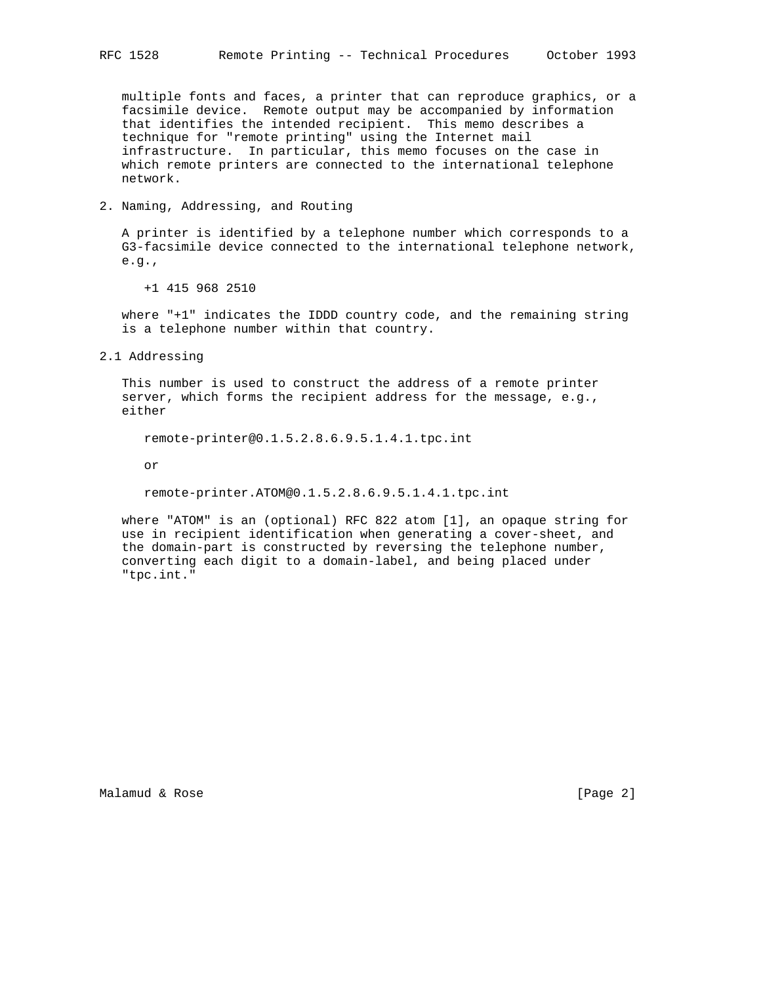multiple fonts and faces, a printer that can reproduce graphics, or a facsimile device. Remote output may be accompanied by information that identifies the intended recipient. This memo describes a technique for "remote printing" using the Internet mail infrastructure. In particular, this memo focuses on the case in which remote printers are connected to the international telephone network.

2. Naming, Addressing, and Routing

 A printer is identified by a telephone number which corresponds to a G3-facsimile device connected to the international telephone network, e.g.,

+1 415 968 2510

 where "+1" indicates the IDDD country code, and the remaining string is a telephone number within that country.

2.1 Addressing

 This number is used to construct the address of a remote printer server, which forms the recipient address for the message, e.g., either

remote-printer@0.1.5.2.8.6.9.5.1.4.1.tpc.int

or

remote-printer.ATOM@0.1.5.2.8.6.9.5.1.4.1.tpc.int

 where "ATOM" is an (optional) RFC 822 atom [1], an opaque string for use in recipient identification when generating a cover-sheet, and the domain-part is constructed by reversing the telephone number, converting each digit to a domain-label, and being placed under "tpc.int."

Malamud & Rose [Page 2]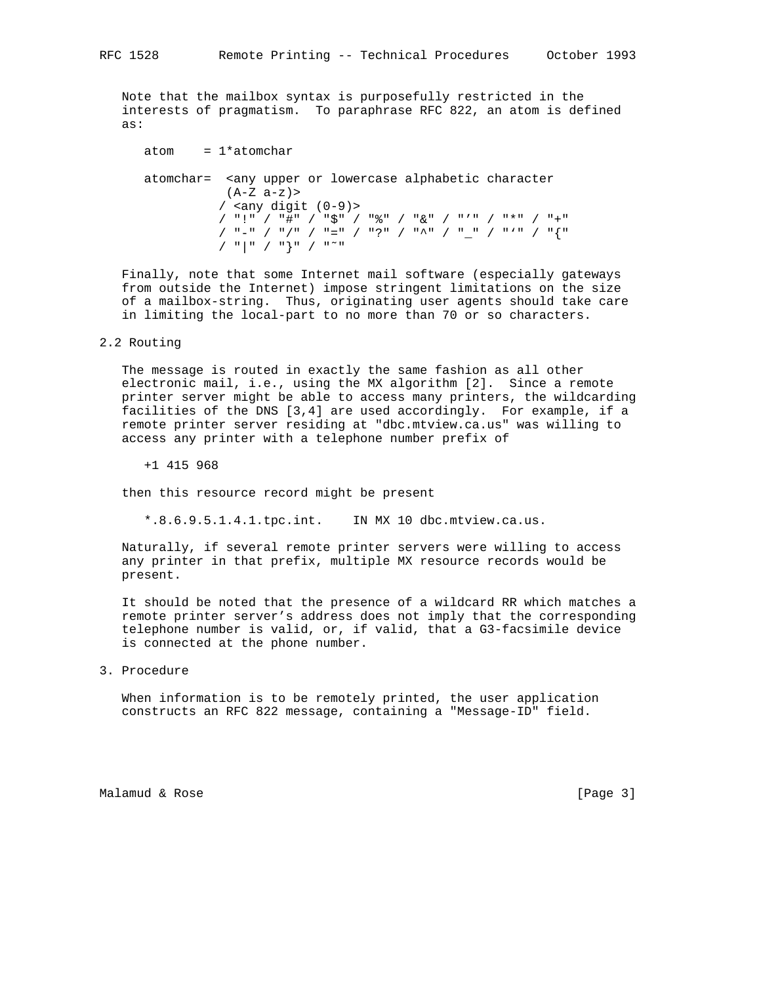Note that the mailbox syntax is purposefully restricted in the interests of pragmatism. To paraphrase RFC 822, an atom is defined as:

```
atom = 1*atomchar atomchar= <any upper or lowercase alphabetic character
           (A-Z a-z)>
           / <any digit (0-9)>
           / "!" / "#" / "$" / "%" / "&" / "'" / "*" / "+"
           / "-" / "/" / "=" / "?" / "^" / "_" / "'" / "{"
           / "|" / "}" / "˜"
```
 Finally, note that some Internet mail software (especially gateways from outside the Internet) impose stringent limitations on the size of a mailbox-string. Thus, originating user agents should take care in limiting the local-part to no more than 70 or so characters.

## 2.2 Routing

 The message is routed in exactly the same fashion as all other electronic mail, i.e., using the MX algorithm [2]. Since a remote printer server might be able to access many printers, the wildcarding facilities of the DNS [3,4] are used accordingly. For example, if a remote printer server residing at "dbc.mtview.ca.us" was willing to access any printer with a telephone number prefix of

+1 415 968

then this resource record might be present

\*.8.6.9.5.1.4.1.tpc.int. IN MX 10 dbc.mtview.ca.us.

 Naturally, if several remote printer servers were willing to access any printer in that prefix, multiple MX resource records would be present.

 It should be noted that the presence of a wildcard RR which matches a remote printer server's address does not imply that the corresponding telephone number is valid, or, if valid, that a G3-facsimile device is connected at the phone number.

3. Procedure

 When information is to be remotely printed, the user application constructs an RFC 822 message, containing a "Message-ID" field.

Malamud & Rose [Page 3]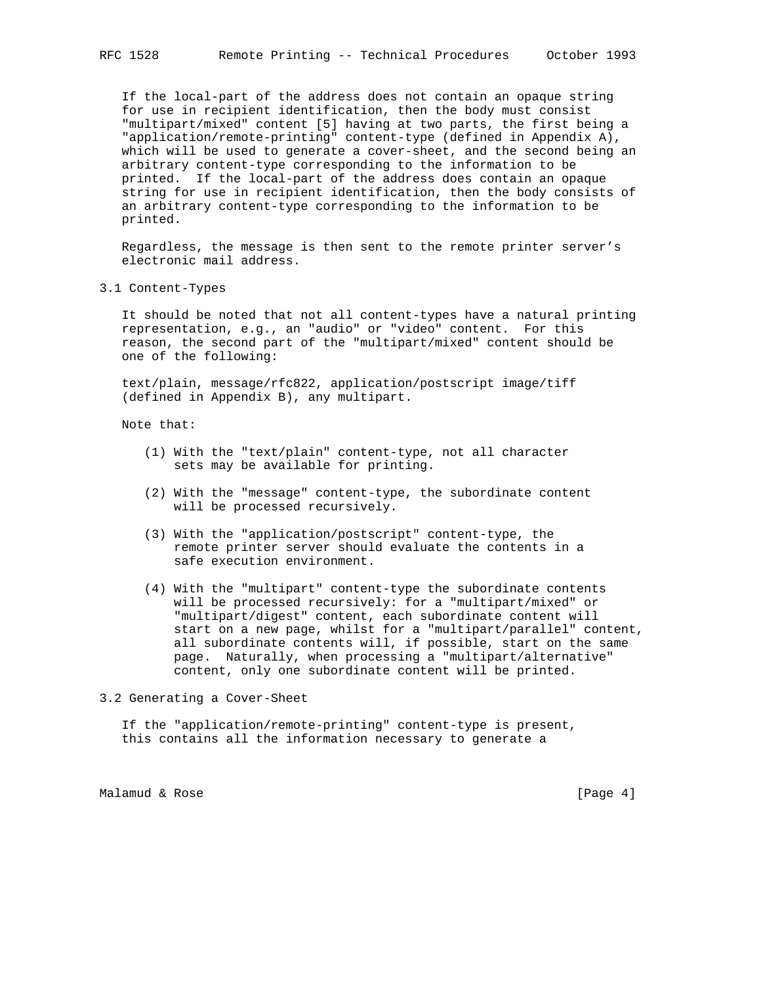If the local-part of the address does not contain an opaque string for use in recipient identification, then the body must consist "multipart/mixed" content [5] having at two parts, the first being a "application/remote-printing" content-type (defined in Appendix A), which will be used to generate a cover-sheet, and the second being an arbitrary content-type corresponding to the information to be printed. If the local-part of the address does contain an opaque string for use in recipient identification, then the body consists of an arbitrary content-type corresponding to the information to be printed.

 Regardless, the message is then sent to the remote printer server's electronic mail address.

3.1 Content-Types

 It should be noted that not all content-types have a natural printing representation, e.g., an "audio" or "video" content. For this reason, the second part of the "multipart/mixed" content should be one of the following:

 text/plain, message/rfc822, application/postscript image/tiff (defined in Appendix B), any multipart.

Note that:

- (1) With the "text/plain" content-type, not all character sets may be available for printing.
- (2) With the "message" content-type, the subordinate content will be processed recursively.
- (3) With the "application/postscript" content-type, the remote printer server should evaluate the contents in a safe execution environment.
- (4) With the "multipart" content-type the subordinate contents will be processed recursively: for a "multipart/mixed" or "multipart/digest" content, each subordinate content will start on a new page, whilst for a "multipart/parallel" content, all subordinate contents will, if possible, start on the same page. Naturally, when processing a "multipart/alternative" content, only one subordinate content will be printed.

3.2 Generating a Cover-Sheet

 If the "application/remote-printing" content-type is present, this contains all the information necessary to generate a

Malamud & Rose [Page 4]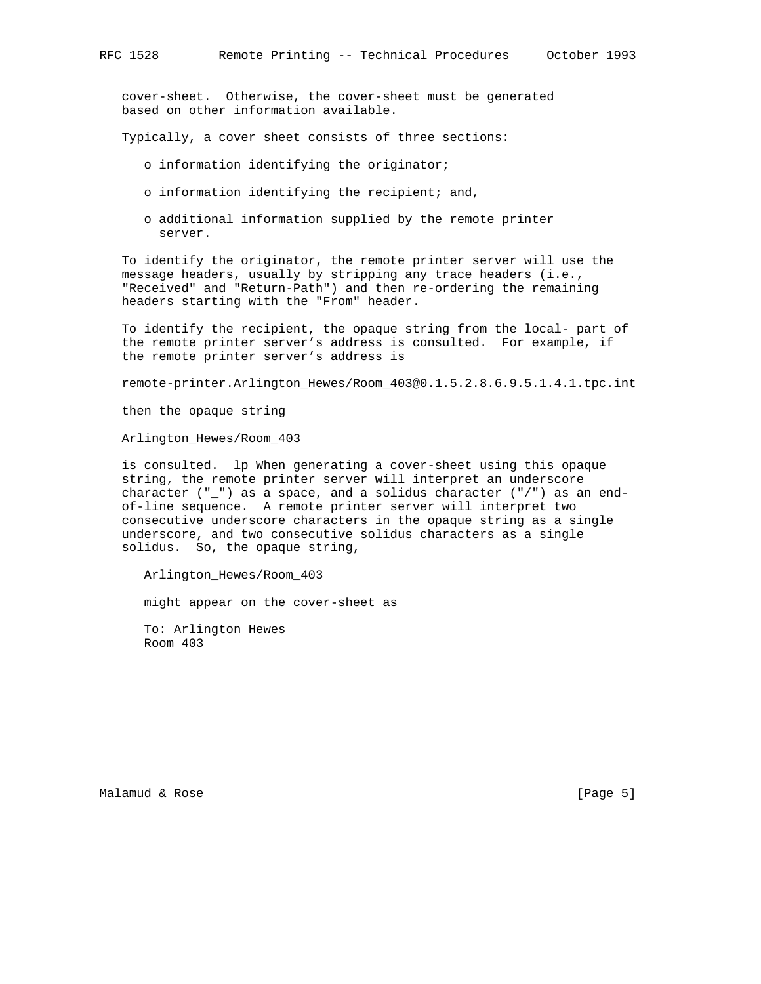cover-sheet. Otherwise, the cover-sheet must be generated based on other information available.

Typically, a cover sheet consists of three sections:

- o information identifying the originator;
- o information identifying the recipient; and,
- o additional information supplied by the remote printer server.

 To identify the originator, the remote printer server will use the message headers, usually by stripping any trace headers (i.e., "Received" and "Return-Path") and then re-ordering the remaining headers starting with the "From" header.

 To identify the recipient, the opaque string from the local- part of the remote printer server's address is consulted. For example, if the remote printer server's address is

remote-printer.Arlington\_Hewes/Room\_403@0.1.5.2.8.6.9.5.1.4.1.tpc.int

then the opaque string

Arlington\_Hewes/Room\_403

 is consulted. lp When generating a cover-sheet using this opaque string, the remote printer server will interpret an underscore character  $("_")$  as a space, and a solidus character  $("/")$  as an end of-line sequence. A remote printer server will interpret two consecutive underscore characters in the opaque string as a single underscore, and two consecutive solidus characters as a single solidus. So, the opaque string,

Arlington\_Hewes/Room\_403

might appear on the cover-sheet as

 To: Arlington Hewes Room 403

Malamud & Rose [Page 5]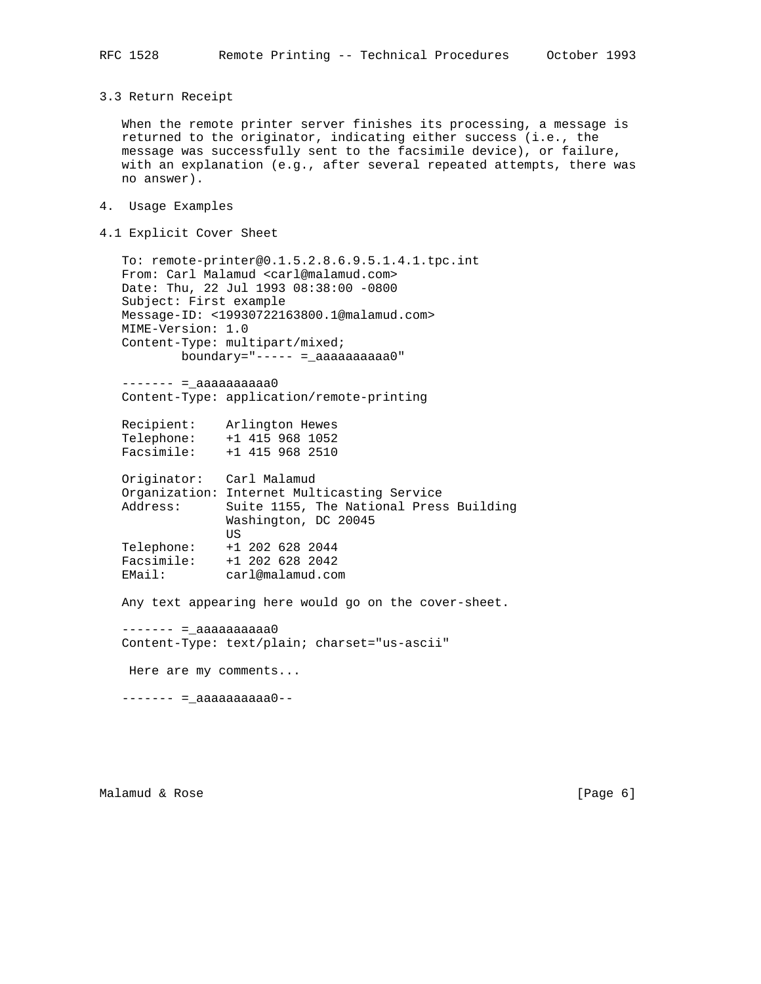3.3 Return Receipt

 When the remote printer server finishes its processing, a message is returned to the originator, indicating either success (i.e., the message was successfully sent to the facsimile device), or failure, with an explanation (e.g., after several repeated attempts, there was no answer).

- 4. Usage Examples
- 4.1 Explicit Cover Sheet

 To: remote-printer@0.1.5.2.8.6.9.5.1.4.1.tpc.int From: Carl Malamud <carl@malamud.com> Date: Thu, 22 Jul 1993 08:38:00 -0800 Subject: First example Message-ID: <19930722163800.1@malamud.com> MIME-Version: 1.0 Content-Type: multipart/mixed; boundary="----- =\_aaaaaaaaaa0"

 $------ = aaaaaaaaaa$ Content-Type: application/remote-printing

 Recipient: Arlington Hewes Telephone: +1 415 968 1052 Facsimile: +1 415 968 2510

 Originator: Carl Malamud Organization: Internet Multicasting Service Address: Suite 1155, The National Press Building Washington, DC 20045 US Telephone: +1 202 628 2044 Facsimile: +1 202 628 2042 EMail: carl@malamud.com

Any text appearing here would go on the cover-sheet.

 $------ = \_ aaaaaaaaaaa0$ Content-Type: text/plain; charset="us-ascii"

Here are my comments...

 $------ =$  =\_aaaaaaaaaa $0---$ 

Malamud & Rose [Page 6]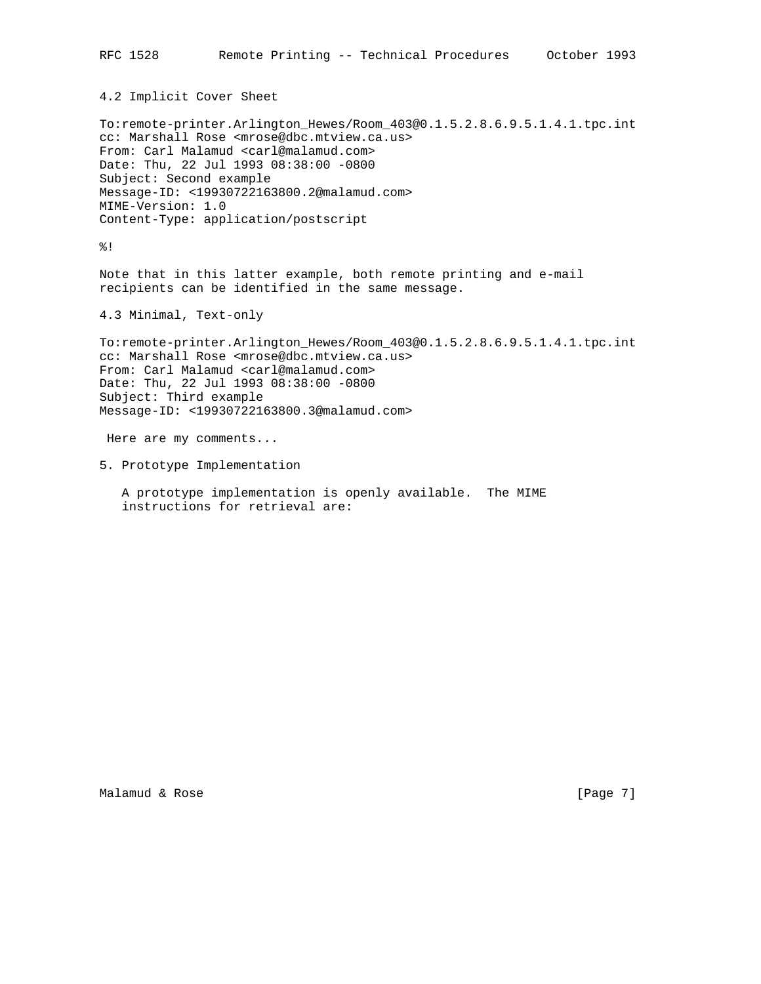4.2 Implicit Cover Sheet

To:remote-printer.Arlington\_Hewes/Room\_403@0.1.5.2.8.6.9.5.1.4.1.tpc.int cc: Marshall Rose <mrose@dbc.mtview.ca.us> From: Carl Malamud <carl@malamud.com> Date: Thu, 22 Jul 1993 08:38:00 -0800 Subject: Second example Message-ID: <19930722163800.2@malamud.com> MIME-Version: 1.0 Content-Type: application/postscript

%!

Note that in this latter example, both remote printing and e-mail recipients can be identified in the same message.

4.3 Minimal, Text-only

To:remote-printer.Arlington\_Hewes/Room\_403@0.1.5.2.8.6.9.5.1.4.1.tpc.int cc: Marshall Rose <mrose@dbc.mtview.ca.us> From: Carl Malamud <carl@malamud.com> Date: Thu, 22 Jul 1993 08:38:00 -0800 Subject: Third example Message-ID: <19930722163800.3@malamud.com>

Here are my comments...

5. Prototype Implementation

 A prototype implementation is openly available. The MIME instructions for retrieval are: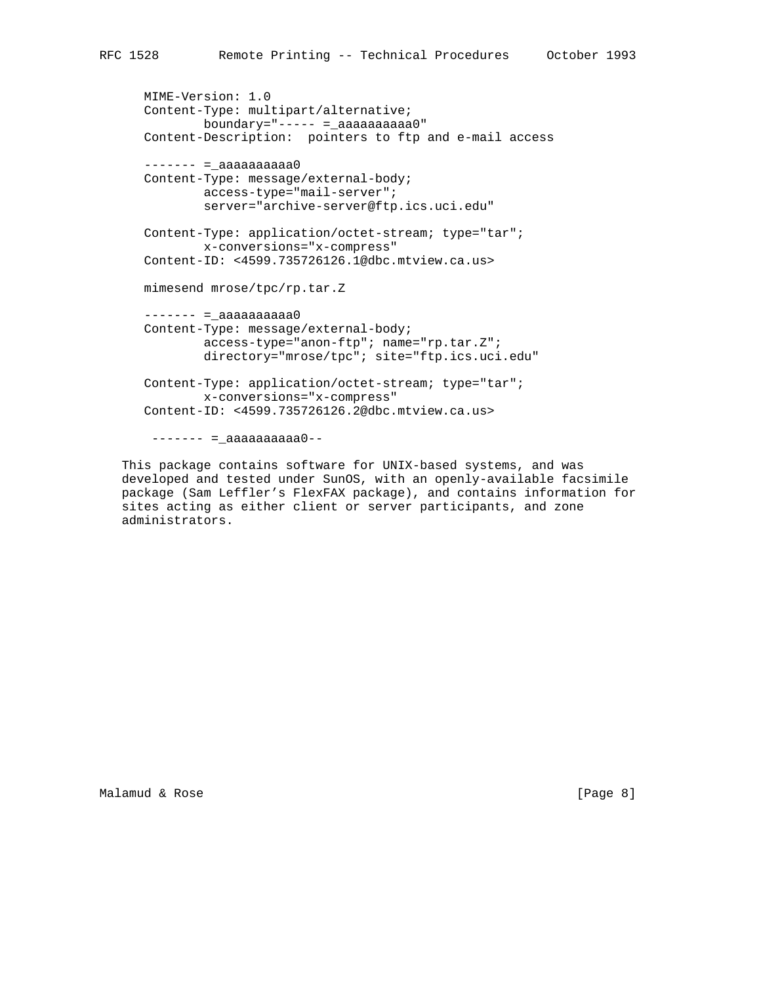```
 MIME-Version: 1.0
 Content-Type: multipart/alternative;
         boundary="----- =_aaaaaaaaaa0"
 Content-Description: pointers to ftp and e-mail access
------ = \_ aaaaaaaaaaaaaaaa0
 Content-Type: message/external-body;
         access-type="mail-server";
         server="archive-server@ftp.ics.uci.edu"
 Content-Type: application/octet-stream; type="tar";
         x-conversions="x-compress"
 Content-ID: <4599.735726126.1@dbc.mtview.ca.us>
 mimesend mrose/tpc/rp.tar.Z
------ = \_ aaaaaaaaaa0
 Content-Type: message/external-body;
         access-type="anon-ftp"; name="rp.tar.Z";
         directory="mrose/tpc"; site="ftp.ics.uci.edu"
 Content-Type: application/octet-stream; type="tar";
         x-conversions="x-compress"
 Content-ID: <4599.735726126.2@dbc.mtview.ca.us>
 ------ = \_ aaaaaaaaaa
```
 This package contains software for UNIX-based systems, and was developed and tested under SunOS, with an openly-available facsimile package (Sam Leffler's FlexFAX package), and contains information for sites acting as either client or server participants, and zone administrators.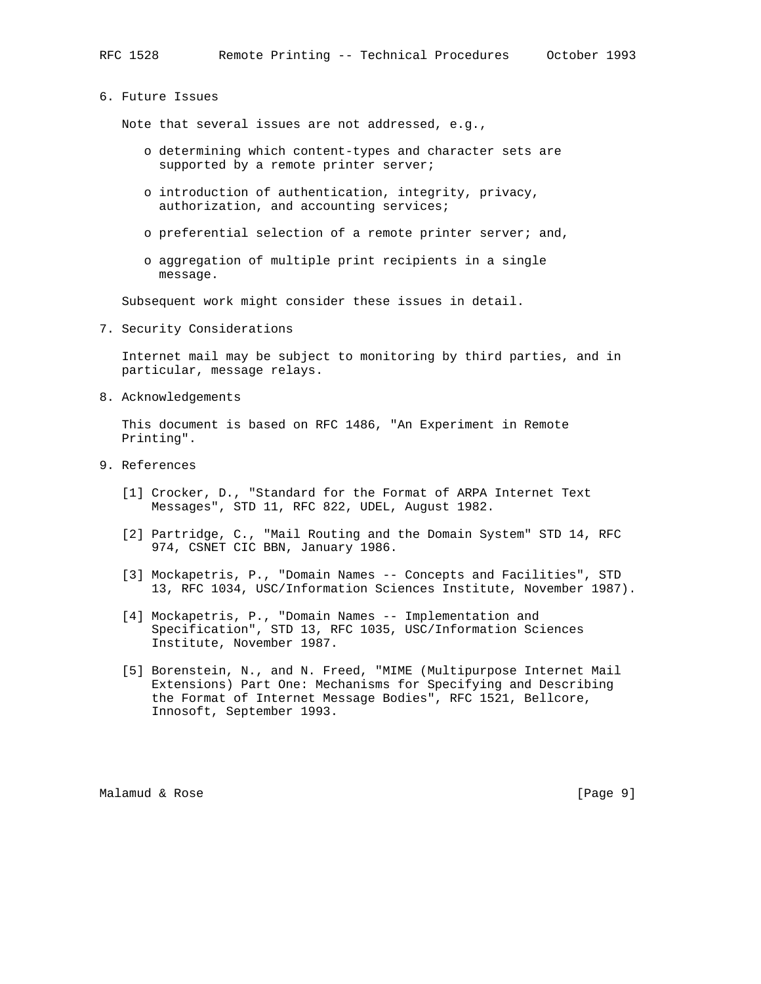## 6. Future Issues

Note that several issues are not addressed, e.g.,

- o determining which content-types and character sets are supported by a remote printer server;
- o introduction of authentication, integrity, privacy, authorization, and accounting services;
- o preferential selection of a remote printer server; and,
- o aggregation of multiple print recipients in a single message.

Subsequent work might consider these issues in detail.

7. Security Considerations

 Internet mail may be subject to monitoring by third parties, and in particular, message relays.

8. Acknowledgements

 This document is based on RFC 1486, "An Experiment in Remote Printing".

- 9. References
	- [1] Crocker, D., "Standard for the Format of ARPA Internet Text Messages", STD 11, RFC 822, UDEL, August 1982.
	- [2] Partridge, C., "Mail Routing and the Domain System" STD 14, RFC 974, CSNET CIC BBN, January 1986.
	- [3] Mockapetris, P., "Domain Names -- Concepts and Facilities", STD 13, RFC 1034, USC/Information Sciences Institute, November 1987).
	- [4] Mockapetris, P., "Domain Names -- Implementation and Specification", STD 13, RFC 1035, USC/Information Sciences Institute, November 1987.
	- [5] Borenstein, N., and N. Freed, "MIME (Multipurpose Internet Mail Extensions) Part One: Mechanisms for Specifying and Describing the Format of Internet Message Bodies", RFC 1521, Bellcore, Innosoft, September 1993.

Malamud & Rose [Page 9]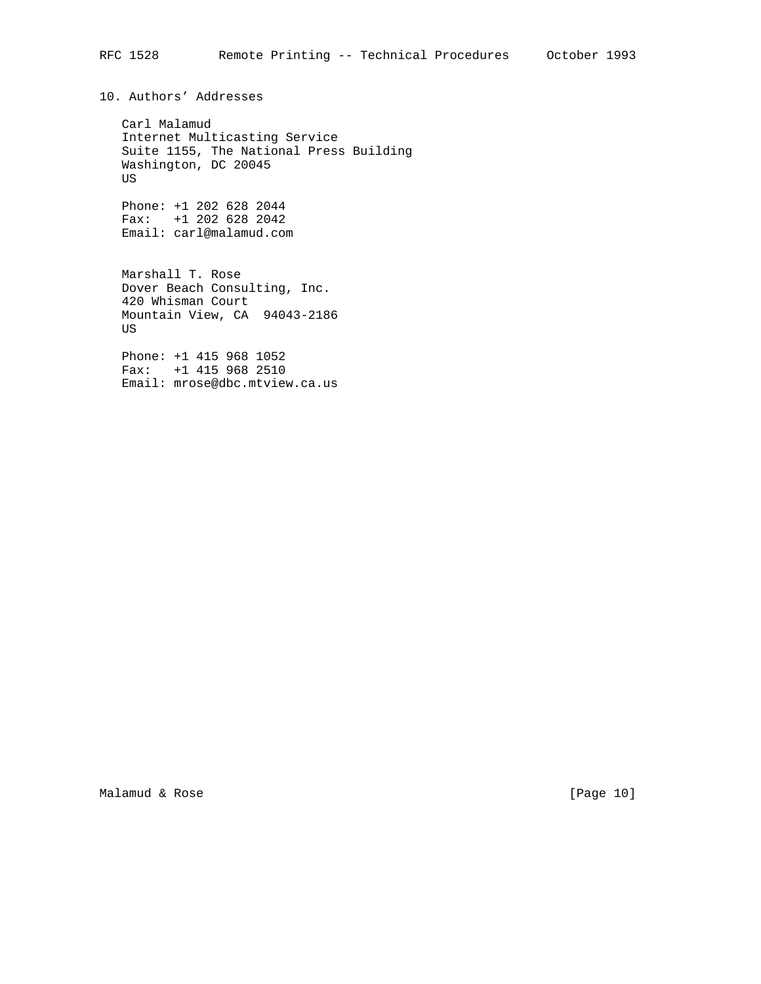10. Authors' Addresses

 Carl Malamud Internet Multicasting Service Suite 1155, The National Press Building Washington, DC 20045 US

 Phone: +1 202 628 2044 Fax: +1 202 628 2042 Email: carl@malamud.com

 Marshall T. Rose Dover Beach Consulting, Inc. 420 Whisman Court Mountain View, CA 94043-2186 US

 Phone: +1 415 968 1052 Fax: +1 415 968 2510 Email: mrose@dbc.mtview.ca.us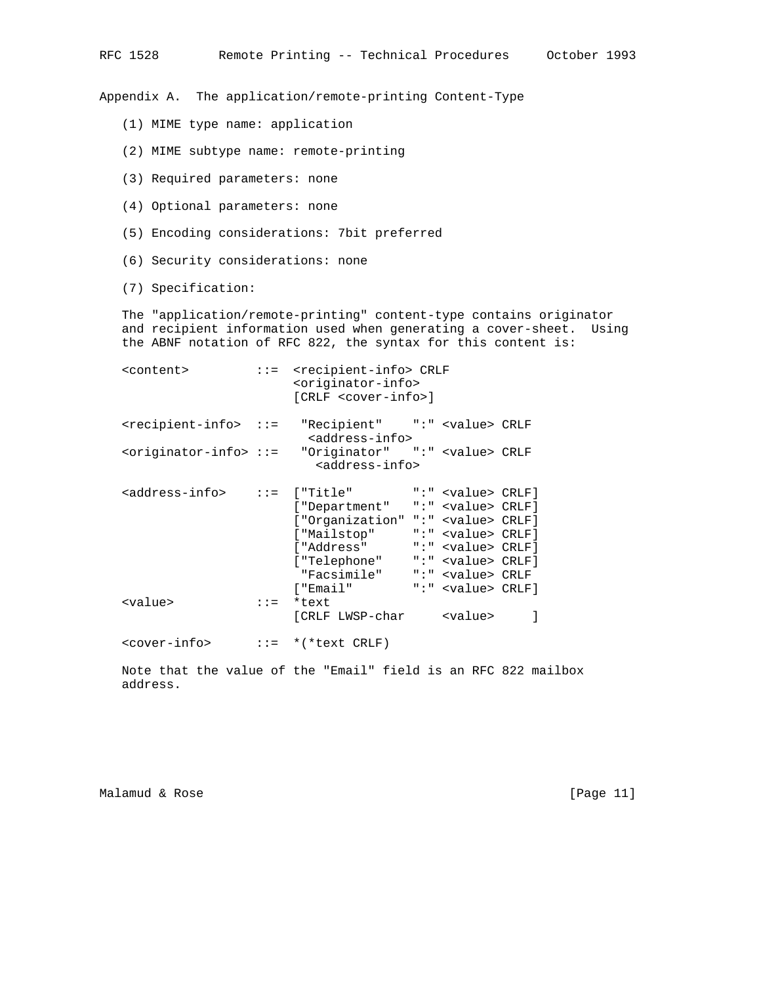Appendix A. The application/remote-printing Content-Type

- (1) MIME type name: application
- (2) MIME subtype name: remote-printing
- (3) Required parameters: none
- (4) Optional parameters: none
- (5) Encoding considerations: 7bit preferred
- (6) Security considerations: none

(7) Specification:

 The "application/remote-printing" content-type contains originator and recipient information used when generating a cover-sheet. Using the ABNF notation of RFC 822, the syntax for this content is:

| <content></content>                                                           |                                                      | $::=$ <recipient-info> CRLF<br/><originator-info><br/>[CRLF <cover-info>]</cover-info></originator-info></recipient-info>                                                                                                                                                                |                           |  |
|-------------------------------------------------------------------------------|------------------------------------------------------|------------------------------------------------------------------------------------------------------------------------------------------------------------------------------------------------------------------------------------------------------------------------------------------|---------------------------|--|
| <recipient-info> ::= "Recipient" ":" <value> CRLF</value></recipient-info>    |                                                      | <address-info></address-info>                                                                                                                                                                                                                                                            |                           |  |
| <originator-info> ::= "Originator" ":" <value> CRLF</value></originator-info> |                                                      | <address-info></address-info>                                                                                                                                                                                                                                                            |                           |  |
| <address-info> ::= ["Title" ":" <value> CRLF]</value></address-info>          |                                                      | ["Department" ":" <value> CRLF]<br/>["Organization" ":" <value> CRLF]<br/>["Mailstop" ":" <value> CRLF]<br/>["Address" ":" <value> CRLF]<br/>["Telephone" ":" <value> CRLF]<br/>"Facsimile" ":" <value> CRLF<br/>f "Email" <b>Automa</b></value></value></value></value></value></value> | ":" <value> CRLF]</value> |  |
| <value></value>                                                               | $\therefore$ $\therefore$ $\Rightarrow$ $\therefore$ | *text<br>[CRLF LWSP-char <value></value>                                                                                                                                                                                                                                                 |                           |  |

 Note that the value of the "Email" field is an RFC 822 mailbox address.